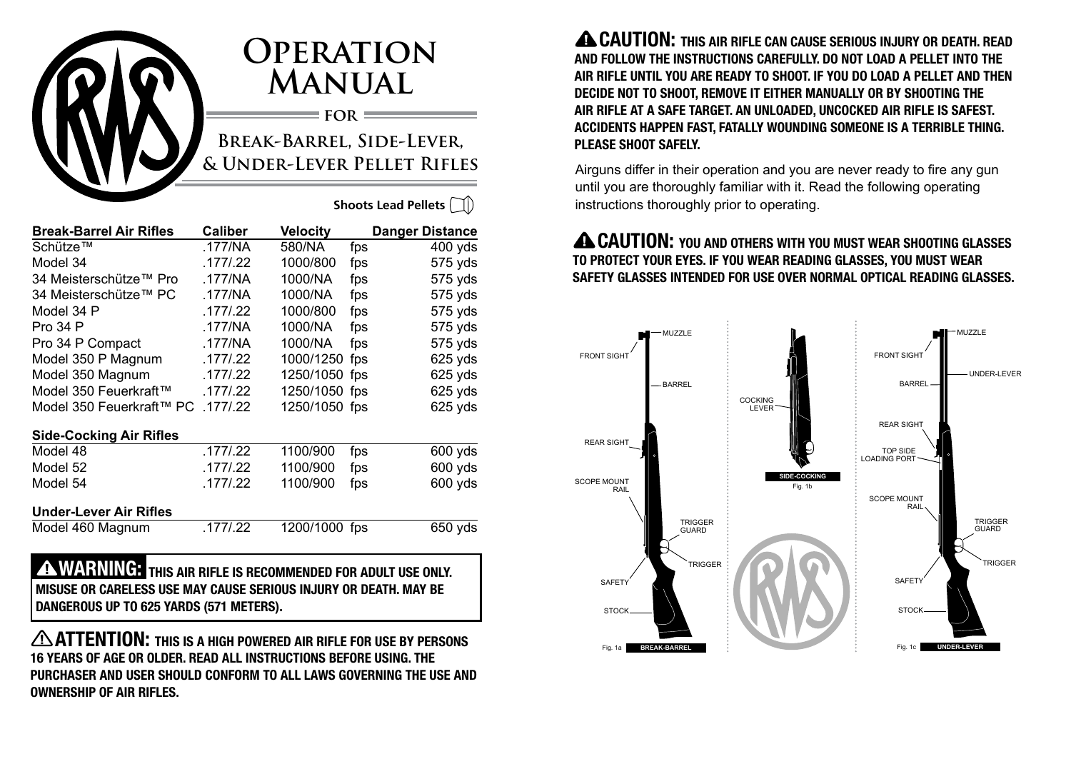

# **Operation Manual**

**for Break-Barrel, Side-Lever, & Under-Lever Pellet Rifles**

**Shoots Lead Pellets**

| <b>Break-Barrel Air Rifles</b> | <b>Caliber</b> | Velocity      |     | <b>Danger Distance</b> |
|--------------------------------|----------------|---------------|-----|------------------------|
| Schütze™                       | .177/NA        | 580/NA        | fps | $400$ yds              |
| Model 34                       | .177/0.22      | 1000/800      | fps | 575 yds                |
| 34 Meisterschütze™ Pro         | .177/NA        | 1000/NA       | fps | 575 yds                |
| 34 Meisterschütze™ PC          | .177/NA        | 1000/NA       | fps | 575 yds                |
| Model 34 P                     | .177/0.22      | 1000/800      | fps | 575 yds                |
| <b>Pro 34 P</b>                | .177/NA        | 1000/NA       | fps | 575 yds                |
| Pro 34 P Compact               | .177/NA        | 1000/NA       | fps | 575 yds                |
| Model 350 P Magnum             | .177/.22       | 1000/1250     | fps | 625 yds                |
| Model 350 Magnum               | .177/0.22      | 1250/1050 fps |     | $625$ yds              |
| Model 350 Feuerkraft™          | .177/0.22      | 1250/1050 fps |     | $625$ yds              |
| Model 350 Feuerkraft™ PC       | .177/0.22      | 1250/1050 fps |     | $625$ yds              |
| <b>Side-Cocking Air Rifles</b> |                |               |     |                        |
| Model 48                       | .177/0.22      | 1100/900      | fps | 600 yds                |
| Model 52                       | .177/0.22      | 1100/900      | fps | 600 yds                |
| Model 54                       | .177/0.22      | 1100/900      | fps | 600 yds                |
| <b>Under-Lever Air Rifles</b>  |                |               |     |                        |
| Model 460 Magnum               | .177/0.22      | 1200/1000 fps |     | 650 yds                |
| <i><b>WADNING.</b></i>         |                |               |     |                        |

 WARNING: THIS AIR RIFLE IS RECOMMENDED FOR ADULT USE ONLY. MISUSE OR CARELESS USE MAY CAUSE SERIOUS INJURY OR DEATH. MAY BE DANGEROUS UP TO 625 YARDS (571 METERS).

ANTIENTION: THIS IS A HIGH POWERED AIR RIFLE FOR USE BY PERSONS 16 YEARS OF AGE OR OLDER. READ ALL INSTRUCTIONS BEFORE USING. THE PURCHASER AND USER SHOULD CONFORM TO ALL LAWS GOVERNING THE USE AND OWNERSHIP OF AIR RIFLES.

**A CAUTION:** THIS AIR RIFLE CAN CAUSE SERIOUS INJURY OR DEATH. READ AND FOLLOW THE INSTRUCTIONS CAREFULLY. DO NOT LOAD A PELLET INTO THE AIR RIFLE UNTIL YOU ARE READY TO SHOOT. IF YOU DO LOAD A PELLET AND THEN DECIDE NOT TO SHOOT, REMOVE IT EITHER MANUALLY OR BY SHOOTING THE AIR RIFLE AT A SAFE TARGET. AN UNLOADED, UNCOCKED AIR RIFLE IS SAFEST. ACCIDENTS HAPPEN FAST, FATALLY WOUNDING SOMEONE IS A TERRIBLE THING. PLEASE SHOOT SAFELY.

Airguns differ in their operation and you are never ready to fire any gun until you are thoroughly familiar with it. Read the following operating instructions thoroughly prior to operating.

#### **A CAUTION:** YOU AND OTHERS WITH YOU MUST WEAR SHOOTING GLASSES TO PROTECT YOUR EYES. IF YOU WEAR READING GLASSES, YOU MUST WEAR SAFETY GLASSES INTENDED FOR USE OVER NORMAL OPTICAL READING GLASSES.

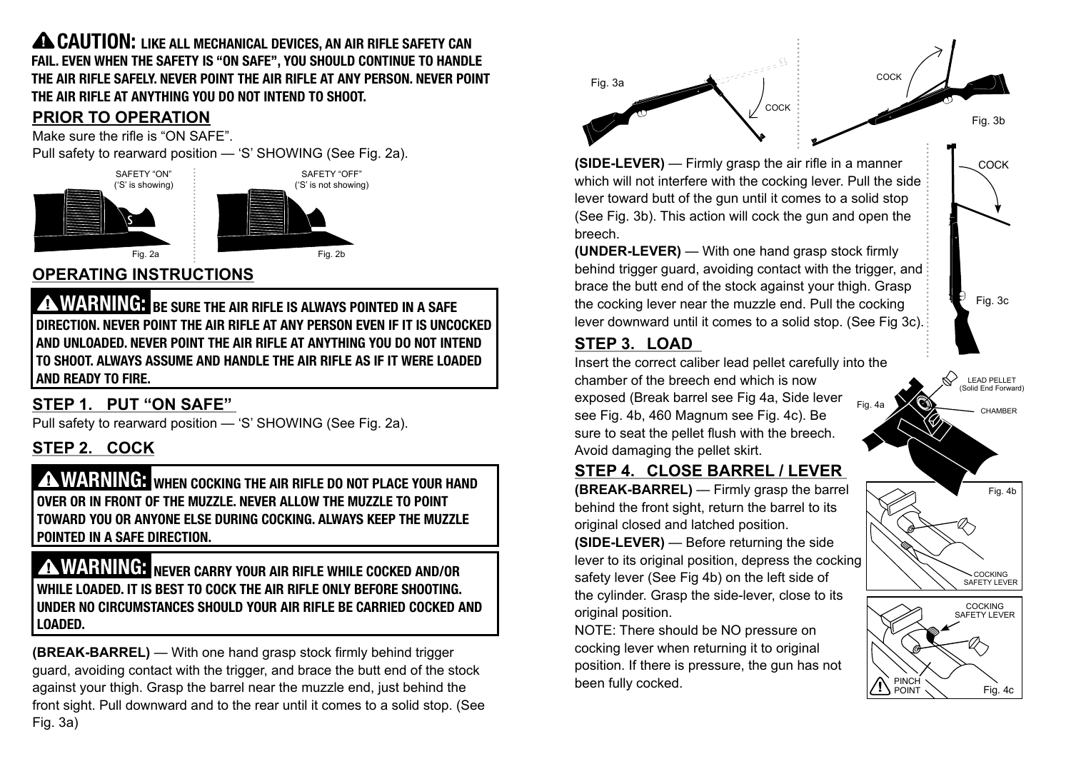**A CAUTION:** LIKE ALL MECHANICAL DEVICES, AN AIR RIFLE SAFETY CAN FAIL. EVEN WHEN THE SAFETY IS "ON SAFE", YOU SHOULD CONTINUE TO HANDLE THE AIR RIFLE SAFELY. NEVER POINT THE AIR RIFLE AT ANY PERSON. NEVER POINT THE AIR RIFLE AT ANYTHING YOU DO NOT INTEND TO SHOOT.

#### **PRIOR TO OPERATION**

Make sure the rifle is "ON SAFE".

Pull safety to rearward position — 'S' SHOWING (See Fig. 2a).





# **OPERATING INSTRUCTIONS**

WARNING: BE SURE THE AIR RIFLE IS ALWAYS POINTED IN A SAFE DIRECTION. NEVER POINT THE AIR RIFLE AT ANY PERSON EVEN IF IT IS UNCOCKED AND UNLOADED. NEVER POINT THE AIR RIFLE AT ANYTHING YOU DO NOT INTEND TO SHOOT. ALWAYS ASSUME AND HANDLE THE AIR RIFLE AS IF IT WERE LOADED AND READY TO FIRE.

#### **STEP 1. PUT "ON SAFE"**

Pull safety to rearward position — 'S' SHOWING (See Fig. 2a).

# **STEP 2. COCK**

**A WARNING:** WHEN COCKING THE AIR RIFLE DO NOT PLACE YOUR HAND OVER OR IN FRONT OF THE MUZZLE. NEVER ALLOW THE MUZZLE TO POINT TOWARD YOU OR ANYONE ELSE DURING COCKING. ALWAYS KEEP THE MUZZLE POINTED IN A SAFE DIRECTION.

#### **A WARNING:** NEVER CARRY YOUR AIR RIFLE WHILE COCKED AND/OR WHILE LOADED. IT IS BEST TO COCK THE AIR RIFLE ONLY BEFORE SHOOTING. UNDER NO CIRCUMSTANCES SHOULD YOUR AIR RIFLE BE CARRIED COCKED AND LOADED.

**(BREAK-BARREL)** — With one hand grasp stock firmly behind trigger guard, avoiding contact with the trigger, and brace the butt end of the stock against your thigh. Grasp the barrel near the muzzle end, just behind the front sight. Pull downward and to the rear until it comes to a solid stop. (See Fig. 3a)



**(SIDE-LEVER)** — Firmly grasp the air rifle in a manner which will not interfere with the cocking lever. Pull the side lever toward butt of the gun until it comes to a solid stop (See Fig. 3b). This action will cock the gun and open the breech.

**(UNDER-LEVER)** — With one hand grasp stock firmly behind trigger guard, avoiding contact with the trigger, and brace the butt end of the stock against your thigh. Grasp the cocking lever near the muzzle end. Pull the cocking lever downward until it comes to a solid stop. (See Fig 3c).

#### **STEP 3. LOAD**

Insert the correct caliber lead pellet carefully into the chamber of the breech end which is now exposed (Break barrel see Fig 4a, Side lever see Fig. 4b, 460 Magnum see Fig. 4c). Be sure to seat the pellet flush with the breech. Avoid damaging the pellet skirt.

#### **STEP 4. CLOSE BARREL / LEVER**

**(BREAK-BARREL)** — Firmly grasp the barrel behind the front sight, return the barrel to its original closed and latched position.

**(SIDE-LEVER)** — Before returning the side lever to its original position, depress the cocking safety lever (See Fig 4b) on the left side of the cylinder. Grasp the side-lever, close to its original position.

NOTE: There should be NO pressure on cocking lever when returning it to original position. If there is pressure, the gun has not been fully cocked.



Fig. 3c

**COCK** 

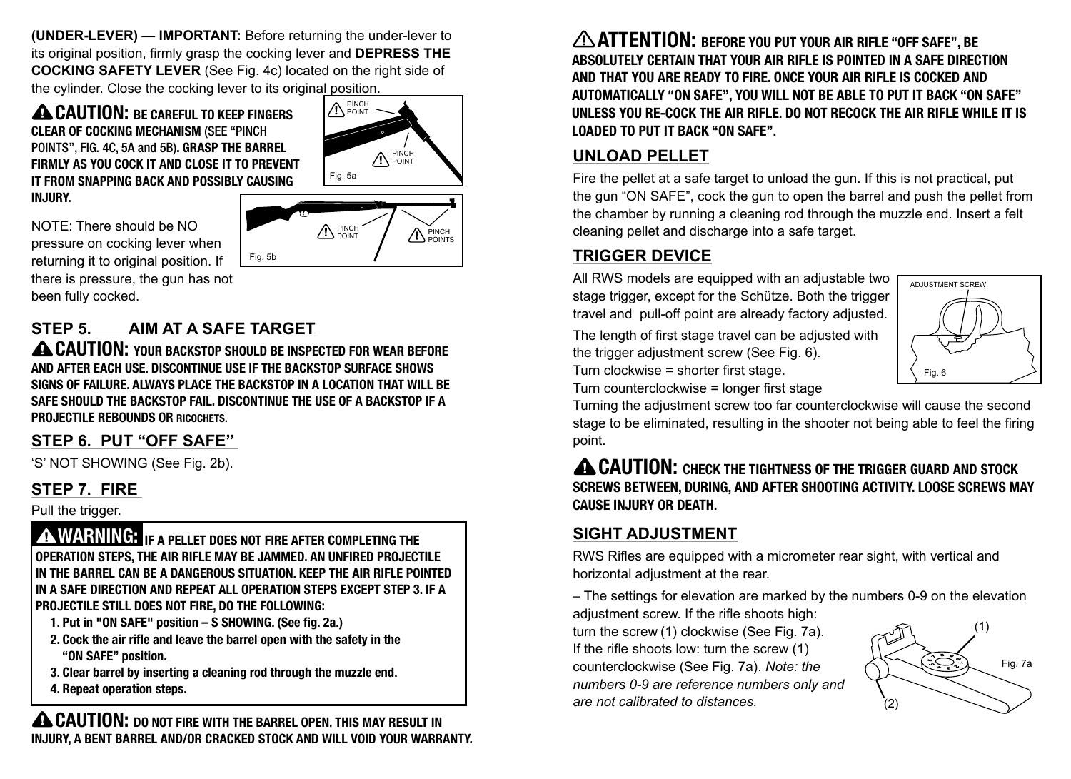**(UNDER-LEVER) — IMPORTANT:** Before returning the under-lever to its original position, firmly grasp the cocking lever and **DEPRESS THE COCKING SAFETY LEVER** (See Fig. 4c) located on the right side of the cylinder. Close the cocking lever to its original position.

**A CAUTION: BE CAREFUL TO KEEP FINGERS** CLEAR OF COCKING MECHANISM (SEE "PINCH POINTS", FIG. 4C, 5A and 5B). GRASP THE BARREL FIRMLY AS YOU COCK IT AND CLOSE IT TO PREVENT IT FROM SNAPPING BACK AND POSSIBLY CAUSING IN.IIIRY.



PINCH POINTS

PINCH POINT

NOTE: There should be NO pressure on cocking lever when returning it to original position. If there is pressure, the gun has not been fully cocked.

# **STEP 5. AIM AT A SAFE TARGET**

A CAUTION: YOUR BACKSTOP SHOULD BE INSPECTED FOR WEAR BEFORE AND AFTER EACH USE. DISCONTINUE USE IF THE BACKSTOP SURFACE SHOWS SIGNS OF FAILURE. ALWAYS PLACE THE BACKSTOP IN A LOCATION THAT WILL BE SAFE SHOULD THE BACKSTOP FAIL. DISCONTINUE THE USE OF A BACKSTOP IF A PROJECTILE REBOUNDS OR RICOCHETS.

Fig. 5b

#### **STEP 6. PUT "OFF SAFE"**

'S' NOT SHOWING (See Fig. 2b).

#### **STEP 7. FIRE**

Pull the trigger.

**A WARNING:** IF A PELLET DOES NOT FIRE AFTER COMPLETING THE operation steps, the AIR RIFLE may be jammed. An unfired projectile in the barrel can be a dangerous situation. Keep the AIR RIFLE pointed in a safe direction and repeat all operation steps except Step 3. If a projectile still does not fire, do the following:

- 1. Put in "ON SAFE" position S SHOWING. (See fig. 2a.)
- 2. Cock the air rifle and leave the barrel open with the safety in the "ON SAFE" position.
- 3. Clear barrel by inserting a cleaning rod through the muzzle end.
- 4. Repeat operation steps.

**A CAUTION:** DO NOT FIRE WITH THE BARREL OPEN. THIS MAY RESULT IN INJURY, A BENT BARREL AND/OR CRACKED STOCK AND WILL VOID YOUR WARRANTY.

ATTENTION: BEFORE YOU PUT YOUR AIR RIFLE "OFF SAFE", BE ABSOLUTELY CERTAIN THAT YOUR AIR RIFLE IS POINTED IN A SAFE DIRECTION AND THAT YOU ARE READY TO FIRE. ONCE YOUR AIR RIFLE IS COCKED AND AUTOMATICALLY "ON SAFE", YOU WILL NOT BE ABLE TO PUT IT BACK "ON SAFE" UNLESS YOU RE-COCK THE AIR RIFLE. DO NOT RECOCK THE AIR RIFLE WHILE IT IS LOADED TO PUT IT BACK "ON SAFE".

#### **UNLOAD PELLET**

Fire the pellet at a safe target to unload the gun. If this is not practical, put the gun "ON SAFE", cock the gun to open the barrel and push the pellet from the chamber by running a cleaning rod through the muzzle end. Insert a felt cleaning pellet and discharge into a safe target.

#### **TRIGGER DEVICE**

All RWS models are equipped with an adjustable two stage trigger, except for the Schütze. Both the trigger travel and pull-off point are already factory adjusted.

The length of first stage travel can be adjusted with the trigger adjustment screw (See Fig. 6). Turn clockwise = shorter first stage.



Turn counterclockwise = longer first stage Turning the adjustment screw too far counterclockwise will cause the second stage to be eliminated, resulting in the shooter not being able to feel the firing point.

#### **A CAUTION:** CHECK THE TIGHTNESS OF THE TRIGGER GUARD AND STOCK SCREWS BETWEEN, DURING, AND AFTER SHOOTING ACTIVITY. LOOSE SCREWS MAY CAUSE INJURY OR DEATH.

#### **SIGHT ADJUSTMENT**

RWS Rifles are equipped with a micrometer rear sight, with vertical and horizontal adjustment at the rear.

– The settings for elevation are marked by the numbers 0-9 on the elevation adjustment screw. If the rifle shoots high:

turn the screw (1) clockwise (See Fig. 7a). If the rifle shoots low: turn the screw (1) counterclockwise (See Fig. 7a). *Note: the numbers 0-9 are reference numbers only and are not calibrated to distances.*

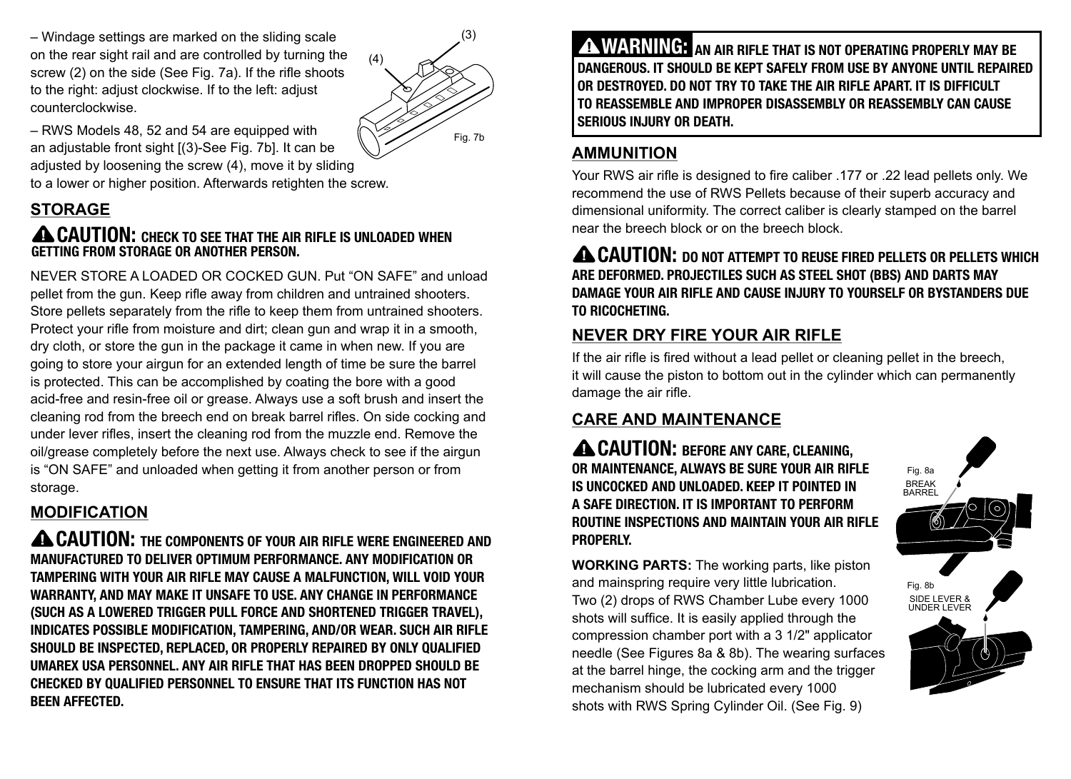– Windage settings are marked on the sliding scale on the rear sight rail and are controlled by turning the screw (2) on the side (See Fig. 7a). If the rifle shoots to the right: adjust clockwise. If to the left: adjust counterclockwise.



– RWS Models 48, 52 and 54 are equipped with an adjustable front sight [(3)-See Fig. 7b]. It can be adjusted by loosening the screw (4), move it by sliding to a lower or higher position. Afterwards retighten the screw.

# **STORAGE**

#### **A CAUTION:** CHECK TO SEE THAT THE AIR RIFLE IS UNLOADED WHEN GETTING FROM STORAGE OR ANOTHER PERSON.

NEVER STORE A LOADED OR COCKED GUN. Put "ON SAFE" and unload pellet from the gun. Keep rifle away from children and untrained shooters. Store pellets separately from the rifle to keep them from untrained shooters. Protect your rifle from moisture and dirt; clean gun and wrap it in a smooth, dry cloth, or store the gun in the package it came in when new. If you are going to store your airgun for an extended length of time be sure the barrel is protected. This can be accomplished by coating the bore with a good acid-free and resin-free oil or grease. Always use a soft brush and insert the cleaning rod from the breech end on break barrel rifles. On side cocking and under lever rifles, insert the cleaning rod from the muzzle end. Remove the oil/grease completely before the next use. Always check to see if the airgun is "ON SAFE" and unloaded when getting it from another person or from storage.

# **MODIFICATION**

**A CAUTION:** THE COMPONENTS OF YOUR AIR RIFLE WERE ENGINEERED AND MANUFACTURED TO DELIVER OPTIMUM PERFORMANCE. ANY MODIFICATION OR TAMPERING WITH YOUR AIR RIFLE MAY CAUSE A MALFUNCTION, WILL VOID YOUR WARRANTY, AND MAY MAKE IT UNSAFE TO USE. ANY CHANGE IN PERFORMANCE (SUCH AS A LOWERED TRIGGER PULL FORCE AND SHORTENED TRIGGER TRAVEL), INDICATES POSSIBLE MODIFICATION, TAMPERING, AND/OR WEAR. SUCH AIR RIFLE SHOULD BE INSPECTED, REPLACED, OR PROPERLY REPAIRED BY ONLY QUALIFIED UMAREX USA PERSONNEL. ANY AIR RIFLE THAT HAS BEEN DROPPED SHOULD BE CHECKED BY QUALIFIED PERSONNEL TO ENSURE THAT ITS FUNCTION HAS NOT BEEN AFFECTED.

**A WARNING:** AN AIR RIFLE THAT IS NOT OPERATING PROPERLY MAY BE DANGEROUS. IT SHOULD BE KEPT SAFELY FROM USE BY ANYONE UNTIL REPAIRED OR DESTROYED. DO NOT TRY TO TAKE THE AIR RIFLE APART. IT IS DIFFICULT TO REASSEMBLE AND IMPROPER DISASSEMBLY OR REASSEMBLY CAN CAUSE SERIOUS INJURY OR DEATH.

# **AMMUNITION**

Your RWS air rifle is designed to fire caliber .177 or .22 lead pellets only. We recommend the use of RWS Pellets because of their superb accuracy and dimensional uniformity. The correct caliber is clearly stamped on the barrel near the breech block or on the breech block.

**A CAUTION:** DO NOT ATTEMPT TO REUSE FIRED PELLETS OR PELLETS WHICH ARE DEFORMED. PROJECTILES SUCH AS STEEL SHOT (BBS) AND DARTS MAY DAMAGE YOUR AIR RIFLE AND CAUSE INJURY TO YOURSELF OR BYSTANDERS DUE TO RICOCHETING.

# **NEVER DRY FIRE YOUR AIR RIFLE**

If the air rifle is fired without a lead pellet or cleaning pellet in the breech, it will cause the piston to bottom out in the cylinder which can permanently damage the air rifle.

# **CARE AND MAINTENANCE**

**A CAUTION: BEFORE ANY CARE, CLEANING,** OR MAINTENANCE, ALWAYS BE SURE YOUR AIR RIFLE IS UNCOCKED AND UNLOADED. KEEP IT POINTED IN A SAFE DIRECTION. IT IS IMPORTANT TO PERFORM ROUTINE INSPECTIONS AND MAINTAIN YOUR AIR RIFLE PROPERLY.

**WORKING PARTS:** The working parts, like piston and mainspring require very little lubrication. Two (2) drops of RWS Chamber Lube every 1000 shots will suffice. It is easily applied through the compression chamber port with a 3 1/2" applicator needle (See Figures 8a & 8b). The wearing surfaces at the barrel hinge, the cocking arm and the trigger mechanism should be lubricated every 1000 shots with RWS Spring Cylinder Oil. (See Fig. 9)